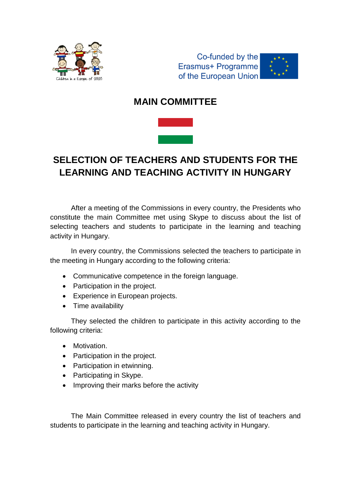



## **MAIN COMMITTEE**



# **SELECTION OF TEACHERS AND STUDENTS FOR THE LEARNING AND TEACHING ACTIVITY IN HUNGARY**

After a meeting of the Commissions in every country, the Presidents who constitute the main Committee met using Skype to discuss about the list of selecting teachers and students to participate in the learning and teaching activity in Hungary.

In every country, the Commissions selected the teachers to participate in the meeting in Hungary according to the following criteria:

- Communicative competence in the foreign language.
- Participation in the project.
- Experience in European projects.
- Time availability

They selected the children to participate in this activity according to the following criteria:

- Motivation.
- Participation in the project.
- Participation in etwinning.
- Participating in Skype.
- Improving their marks before the activity

The Main Committee released in every country the list of teachers and students to participate in the learning and teaching activity in Hungary.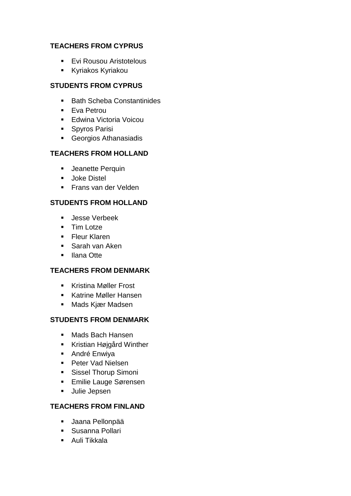#### **TEACHERS FROM CYPRUS**

- **Evi Rousou Aristotelous**
- Kyriakos Kyriakou

### **STUDENTS FROM CYPRUS**

- Bath Scheba Constantinides
- **Eva Petrou**
- **Edwina Victoria Voicou**
- **Spyros Parisi**
- Georgios Athanasiadis

## **TEACHERS FROM HOLLAND**

- **Jeanette Perquin**
- **Joke Distel**
- **Frans van der Velden**

## **STUDENTS FROM HOLLAND**

- Jesse Verbeek
- **Tim Lotze**
- **Fleur Klaren**
- **Sarah van Aken**
- Ilana Otte

## **TEACHERS FROM DENMARK**

- Kristina Møller Frost
- **Katrine Møller Hansen**
- Mads Kjær Madsen

#### **STUDENTS FROM DENMARK**

- Mads Bach Hansen
- Kristian Højgård Winther
- **André Enwiva**
- **Peter Vad Nielsen**
- **Sissel Thorup Simoni**
- **Emilie Lauge Sørensen**
- **Julie Jepsen**

## **TEACHERS FROM FINLAND**

- Jaana Pellonpää
- Susanna Pollari
- **-** Auli Tikkala